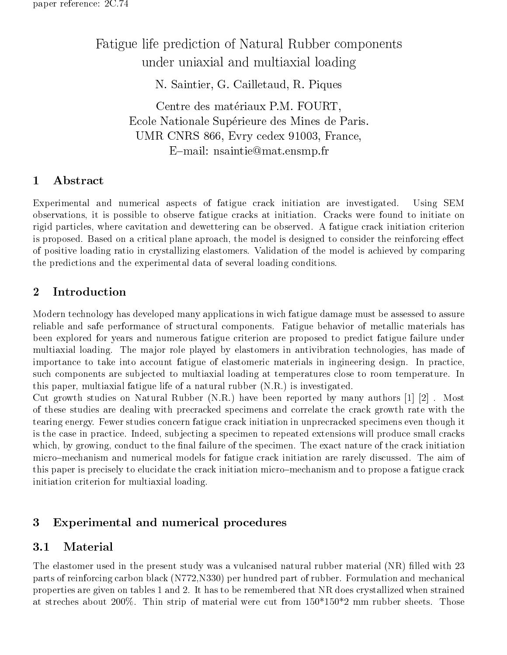# Fatigue life prediction of Natural Rubber components under uniaxial and multiaxial loading

N. Saintier, G. Cailletaud, R. Piques

Centre des matériaux P.M. FOURT, Ecole Nationale Supérieure des Mines de Paris. UMR CNRS 866, Evry cedex 91003, France, E-mail: nsaintie@mat.ensmp.fr

# 1 Abstract

Experimental and numerical aspects of fatigue crack initiation are investigated. Using SEM observations, it is possible to observe fatigue cracks at initiation. Cracks were found to initiate on rigid particles, where cavitation and dewettering can be observed. A fatigue crack initiation criterion is proposed. Based on a critical plane aproach, the model is designed to consider the reinforcing effect of positive loading ratio in crystallizing elastomers. Validation of the model is achieved by comparing the predictions and the experimental data of several loading conditions.

# 2 Introduction

Modern technology has developed many applications in wich fatigue damage must be assessed to assure reliable and safe performance of structural components. Fatigue behavior of metallic materials has been explored for years and numerous fatigue criterion are proposed to predict fatigue failure under multiaxial loading. The major role played by elastomers in antivibration technologies, has made of importance to take into account fatigue of elastomeric materials in ingineering design. In practice, such components are subjected to multiaxial loading at temperatures close to room temperature. In this paper, multiaxial fatigue life of a natural rubber (N.R.) is investigated.

Cut growth studies on Natural Rubber (N.R.) have been reported by many authors [1] [2] . Most of these studies are dealing with precracked specimens and correlate the crack growth rate with the tearing energy. Fewer studies concern fatigue crack initiation in unprecracked specimens even though it is the case in practice. Indeed, subjecting a specimen to repeated extensions will produce small cracks which, by growing, conduct to the final failure of the specimen. The exact nature of the crack initiation micro-mechanism and numerical models for fatigue crack initiation are rarely discussed. The aim of this paper is precisely to elucidate the crack initiation micro{mechanism and to propose a fatigue crack initiation criterion for multiaxial loading.

# 3 Experimental and numerical procedures

#### Material  $3.1$

The elastomer used in the present study was a vulcanised natural rubber material (NR) filled with 23 parts of reinforcing carbon black (N772,N330) per hundred part of rubber. Formulation and mechanical properties are given on tables 1 and 2. It has to be remembered that NR does crystallized when strained at streches about 200%. Thin strip of material were cut from  $150*150*2$  mm rubber sheets. Those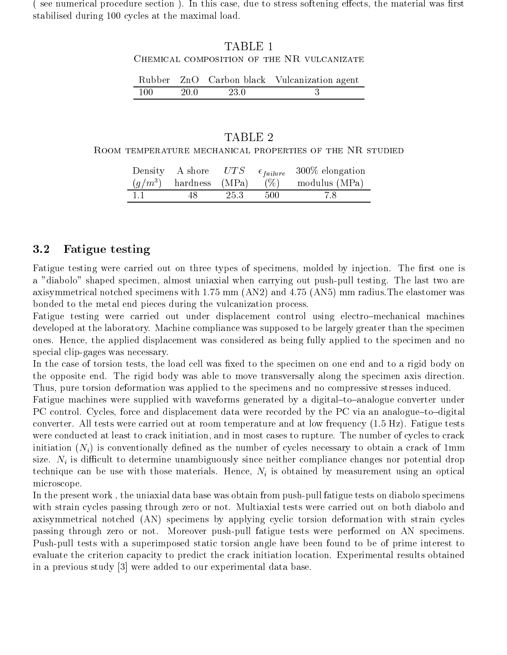(see numerical procedure section). In this case, due to stress softening effects, the material was first stabilised during 100 cycles at the maximal load.

# TABLE 1

#### Chemical composition of the NR vulcanizate

|        |      |      | Rubber ZnO Carbon black Vulcanization agent |
|--------|------|------|---------------------------------------------|
| -100 - | 20.0 | 23.0 |                                             |

#### Room temperature mechanical properties of the NR studied

|        |        |      |      | Density A shore $UTS$ $\epsilon_{failure}$ 300% elongation |  |
|--------|--------|------|------|------------------------------------------------------------|--|
|        |        |      |      | $(g/m^3)$ hardness (MPa) (%) modulus (MPa)                 |  |
| $-1.1$ | - 48 - | 25.3 | -500 |                                                            |  |

# 3.2 Fatigue testing

Fatigue testing were carried out on three types of specimens, molded by injection. The first one is a "diabolo" shaped specimen, almost uniaxial when carrying out push-pull testing. The last two are axisymmetrical notched specimens with 1.75 mm (AN2) and 4.75 (AN5) mm radius.The elastomer was bonded to the metal end pieces during the vulcanization process.

Fatigue testing were carried out under displacement control using electro-mechanical machines developed at the laboratory. Machine compliance was supposed to be largely greater than the specimen ones. Hence, the applied displacement was considered as being fully applied to the specimen and no special clip-gages was necessary.

In the case of torsion tests, the load cell was fixed to the specimen on one end and to a rigid body on the opposite end. The rigid body was able to move transversally along the specimen axis direction. Thus, pure torsion deformation was applied to the specimens and no compressive stresses induced.

Fatigue machines were supplied with waveforms generated by a digital-to-analogue converter under PC control. Cycles, force and displacement data were recorded by the PC via an analogue-to-digital converter. All tests were carried out at room temperature and at low frequency (1.5 Hz). Fatigue tests were conducted at least to crack initiation, and in most cases to rupture. The number of cycles to crack initiation  $(N_i)$  is conventionally defined as the number of cycles necessary to obtain a crack of 1mm size.  $N_i$  is difficult to determine unambiguously since neither compliance changes nor potential drop technique can be use with those materials. Hence,  $N_i$  is obtained by measurement using an optical microscope.

In the present work , the uniaxial data base was obtain from push-pull fatigue tests on diabolo specimens with strain cycles passing through zero or not. Multiaxial tests were carried out on both diabolo and axisymmetrical notched (AN) specimens by applying cyclic torsion deformation with strain cycles passing through zero or not. Moreover push-pull fatigue tests were performed on AN specimens. Push-pull tests with a superimposed static torsion angle have been found to be of prime interest to evaluate the criterion capacity to predict the crack initiation location. Experimental results obtained in a previous study [3] were added to our experimental data base.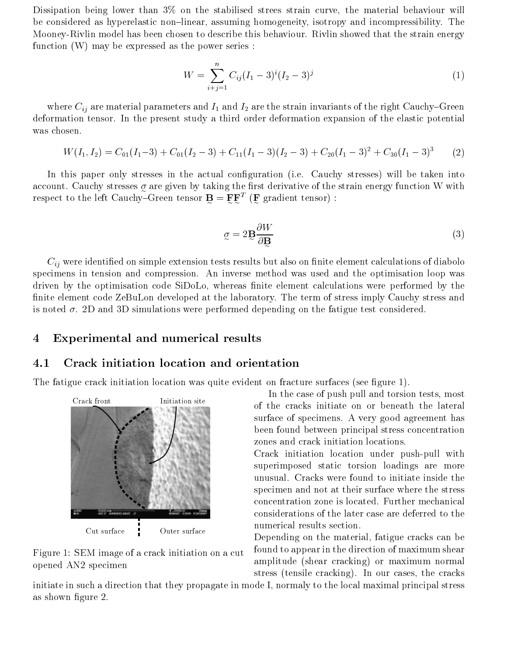Dissipation being lower than 3% on the stabilised strees strain curve, the material behaviour will be considered as hyperelastic non-linear, assuming homogeneity, isotropy and incompressibility. The Mooney-Rivlin model has been chosen to describe this behaviour. Rivlin showed that the strain energy function  $(W)$  may be expressed as the power series :

$$
W = \sum_{i+j=1}^{n} C_{ij} (I_1 - 3)^i (I_2 - 3)^j
$$
 (1)

where  $C_{ij}$  are material parameters and  $I_1$  and  $I_2$  are the strain invariants of the right Cauchy–Green deformation tensor. In the present study a third order deformation expansion of the elastic potential was chosen.

$$
W(I_1, I_2) = C_{01}(I_1 - 3) + C_{01}(I_2 - 3) + C_{11}(I_1 - 3)(I_2 - 3) + C_{20}(I_1 - 3)^2 + C_{30}(I_1 - 3)^3
$$
 (2)

In this paper only stresses in the actual configuration (i.e. Cauchy stresses) will be taken into are given by taking the stresses of the stresses of the stresses of the stresses of the stresses of the stresses of the stresses of the stresses of the stresses of the stresses of the strain energy function  $\sim$ respect to the left Cauchy–Green tensor  $\maltese = \maltese \maltese - \maltese \maltese - \maltese \maltese - \maltese \maltese)$  :

$$
q = 2B \frac{\partial W}{\partial B} \tag{3}
$$

 $C_{ij}$  were identified on simple extension tests results but also on finite element calculations of diabolo specimens in tension and compression. An inverse method was used and the optimisation loop was driven by the optimisation code SiDoLo, whereas finite element calculations were performed by the nite element code ZeBuLon developed at the laboratory. The term of stress imply Cauchy stress and is noted  $\sigma$ . 2D and 3D simulations were performed depending on the fatigue test considered.

## 4 Experimental and numerical results

#### 4.1 Crack initiation location and orientation

The fatigue crack initiation location was quite evident on fracture surfaces (see figure 1).



Figure 1: SEM image of a crack initiation on a cut opened AN2 specimen

In the case of push pull and torsion tests, most of the cracks initiate on or beneath the lateral surface of specimens. A very good agreement has been found between principal stress concentration zones and crack initiation locations.

Crack initiation location under push-pull with superimposed static torsion loadings are more unusual. Cracks were found to initiate inside the specimen and not at their surface where the stress concentration zone is located. Further mechanical considerations of the later case are deferred to the numerical results section.

Depending on the material, fatigue cracks can be found to appear in the direction of maximum shear amplitude (shear cracking) or maximum normal stress (tensile cracking). In our cases, the cracks

initiate in such a direction that they propagate in mode I, normaly to the local maximal principal stress as shown figure 2.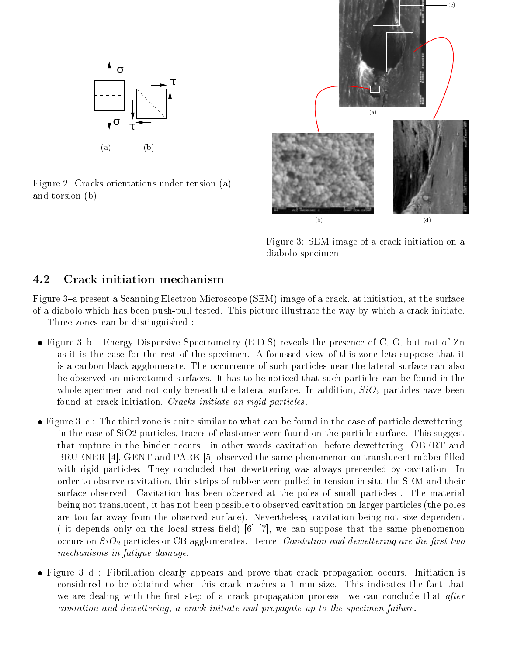

Figure 2: Cracks orientations under tension (a) and torsion (b)



Figure 3: SEM image of a crack initiation on a diabolo specimen

# 4.2 Crack initiation mechanism

Figure 3–a present a Scanning Electron Microscope (SEM) image of a crack, at initiation, at the surface of a diabolo which has been push-pull tested. This picture illustrate the way by which a crack initiate. Three zones can be distinguished :

- Figure 3-b : Energy Dispersive Spectrometry (E.D.S) reveals the presence of C, O, but not of Zn as it is the case for the rest of the specimen. A focussed view of this zone lets suppose that it is a carbon black agglomerate. The occurrence of such particles near the lateral surface can also be observed on microtomed surfaces. It has to be noticed that such particles can be found in the whole specimen and not only beneath the lateral surface. In addition,  $SiO<sub>2</sub>$  particles have been found at crack initiation. Cracks initiate on rigid particles.
- Figure  $3-c$ : The third zone is quite similar to what can be found in the case of particle dewettering. In the case of SiO2 particles, traces of elastomer were found on the particle surface. This suggest that rupture in the binder occurs , in other words cavitation, before dewettering. OBERT and BRUENER [4], GENT and PARK [5] observed the same phenomenon on translucent rubber filled with rigid particles. They concluded that dewettering was always preceeded by cavitation. In order to observe cavitation, thin strips of rubber were pulled in tension in situ the SEM and their surface observed. Cavitation has been observed at the poles of small particles . The material being not translucent, it has not been possible to observed cavitation on larger particles (the poles are too far away from the observed surface). Nevertheless, cavitation being not size dependent (it depends only on the local stress field) [6] [7], we can suppose that the same phenomenon occurs on  $SiO<sub>2</sub>$  particles or CB agglomerates. Hence, *Cavitation and dewettering are the first two* mechanisms in fatigue damage.
- Figure 3-d : Fibrillation clearly appears and prove that crack propagation occurs. Initiation is considered to be obtained when this crack reaches a 1 mm size. This indicates the fact that we are dealing with the first step of a crack propagation process. we can conclude that after cavitation and dewettering, a crack initiate and propagate up to the specimen failure.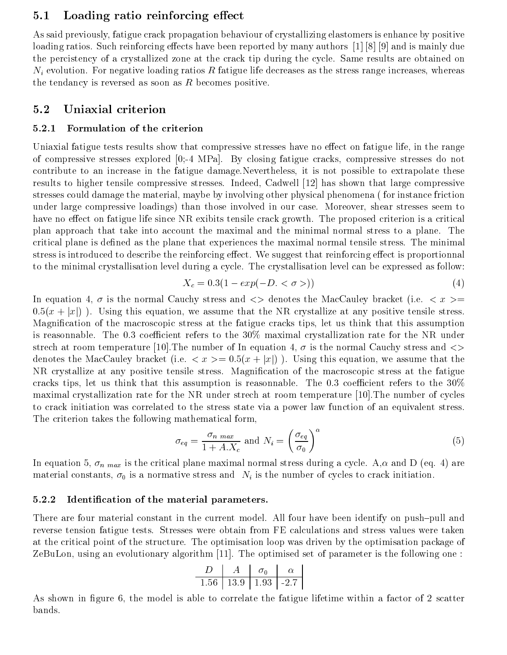# 5.1 Loading ratio reinforcing effect

As said previously, fatigue crack propagation behaviour of crystallizing elastomers is enhance by positive loading ratios. Such reinforcing effects have been reported by many authors  $\lceil 1 \rceil \lceil 8 \rceil \lceil 9 \rceil$  and is mainly due the percistency of a crystallized zone at the crack tip during the cycle. Same results are obtained on  $N_i$  evolution. For negative loading ratios R fatigue life decreases as the stress range increases, whereas the tendancy is reversed as soon as  $R$  becomes positive.

### 5.2 Uniaxial criterion

#### 5.2.1 Formulation of the criterion

Uniaxial fatigue tests results show that compressive stresses have no effect on fatigue life, in the range of compressive stresses explored [0;-4 MPa]. By closing fatigue cracks, compressive stresses do not contribute to an increase in the fatigue damage.Nevertheless, it is not possible to extrapolate these results to higher tensile compressive stresses. Indeed, Cadwell [12] has shown that large compressive stresses could damage the material, maybe by involving other physical phenomena ( for instance friction under large compressive loadings) than those involved in our case. Moreover, shear stresses seem to have no effect on fatigue life since NR exibits tensile crack growth. The proposed criterion is a critical plan approach that take into account the maximal and the minimal normal stress to a plane. The critical plane is defined as the plane that experiences the maximal normal tensile stress. The minimal stress is introduced to describe the reinforcing effect. We suggest that reinforcing effect is proportionnal to the minimal crystallisation level during a cycle. The crystallisation level can be expressed as follow:

$$
X_c = 0.3(1 - exp(-D. < \sigma >))\tag{4}
$$

In equation 4,  $\sigma$  is the normal Cauchy stress and  $\langle \rangle$  denotes the MacCauley bracket (i.e.  $\langle x \rangle$  =  $0.5(x + |x|)$ ). Using this equation, we assume that the NR crystallize at any positive tensile stress. Magnication of the macroscopic stress at the fatigue cracks tips, let us think that this assumption is reasonnable. The 0.3 coefficient refers to the  $30\%$  maximal crystallization rate for the NR under strech at room temperature [10]. The number of In equation 4,  $\sigma$  is the normal Cauchy stress and  $\langle \rangle$ denotes the MacCauley bracket (i.e.  $\langle x \rangle = 0.5(x + |x|)$ ). Using this equation, we assume that the NR crystallize at any positive tensile stress. Magnication of the macroscopic stress at the fatigue cracks tips, let us think that this assumption is reasonnable. The 0.3 coefficient refers to the  $30\%$ maximal crystallization rate for the NR under strech at room temperature [10].The number of cycles to crack initiation was correlated to the stress state via a power law function of an equivalent stress. The criterion takes the following mathematical form,

$$
\sigma_{eq} = \frac{\sigma_{n \text{ max}}}{1 + A.X_c} \text{ and } N_i = \left(\frac{\sigma_{eq}}{\sigma_0}\right)^{\alpha} \tag{5}
$$

In equation 5,  $\sigma_n$  max is the critical plane maximal normal stress during a cycle. A, $\alpha$  and D (eq. 4) are material constants,  $\sigma_0$  is a normative stress and  $N_i$  is the number of cycles to crack initiation.

#### 5.2.2 Identication of the material parameters.

There are four material constant in the current model. All four have been identify on push-pull and reverse tension fatigue tests. Stresses were obtain from FE calculations and stress values were taken at the critical point of the structure. The optimisation loop was driven by the optimisation package of ZeBuLon, using an evolutionary algorithm [11]. The optimised set of parameter is the following one :

$$
\begin{array}{c|c|c|c|c|c|c} D & A & \sigma_0 & \alpha \\ \hline 1.56 & 13.9 & 1.93 & -2.7 \\ \end{array}
$$

As shown in figure 6, the model is able to correlate the fatigue lifetime within a factor of 2 scatter bands.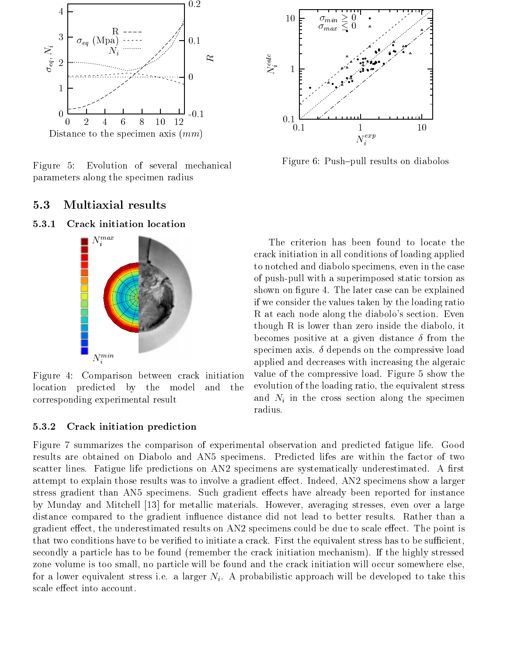

Figure 5: Evolution of several mechanical parameters along the specimen radius

# 5.3 Multiaxial results

#### 5.3.1 Crack initiation location



Figure 4: Comparison between crack initiation location predicted by the model and the corresponding experimental result

#### 5.3.2 Crack initiation prediction



Figure 6: Push-pull results on diabolos

The criterion has been found to locate the crack initiation in all conditions of loading applied to notched and diabolo specimens, even in the case of push-pull with a superimposed static torsion as shown on figure 4. The later case can be explained if we consider the values taken by the loading ratio R at each node along the diabolo's section. Even though R is lower than zero inside the diabolo, it becomes positive at a given distance  $\delta$  from the specimen axis.  $\delta$  depends on the compressive load applied and decreases with increasing the algeraic value of the compressive load. Figure 5 show the evolution of the loading ratio, the equivalent stress and  $N_i$  in the cross section along the specimen radius.

Figure 7 summarizes the comparison of experimental observation and predicted fatigue life. Good results are obtained on Diabolo and AN5 specimens. Predicted lifes are within the factor of two scatter lines. Fatigue life predictions on  $AN2$  specimens are systematically underestimated. A first attempt to explain those results was to involve a gradient effect. Indeed, AN2 specimens show a larger stress gradient than AN5 specimens. Such gradient effects have already been reported for instance by Munday and Mitchell [13] for metallic materials. However, averaging stresses, even over a large distance compared to the gradient influence distance did not lead to better results. Rather than a gradient effect, the underestimated results on AN2 specimens could be due to scale effect. The point is that two conditions have to be verified to initiate a crack. First the equivalent stress has to be sufficient, secondly a particle has to be found (remember the crack initiation mechanism). If the highly stressed zone volume is too small, no particle will be found and the crack initiation will occur somewhere else, for a lower equivalent stress i.e. a larger  $N_i$ . A probabilistic approach will be developed to take this scale effect into account.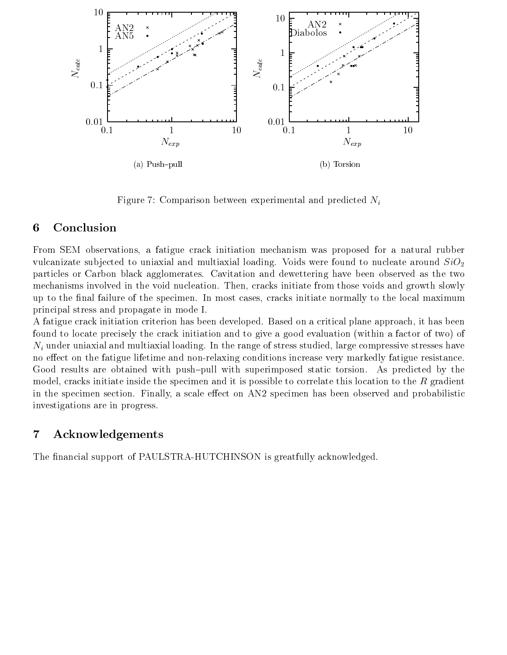

Figure 7: Comparison between experimental and predicted  $N_i$ 

# 6 Conclusion

From SEM observations, a fatigue crack initiation mechanism was proposed for a natural rubber vulcanizate subjected to uniaxial and multiaxial loading. Voids were found to nucleate around  $SiO<sub>2</sub>$ particles or Carbon black agglomerates. Cavitation and dewettering have been observed as the two mechanisms involved in the void nucleation. Then, cracks initiate from those voids and growth slowly up to the final failure of the specimen. In most cases, cracks initiate normally to the local maximum principal stress and propagate in mode I.

A fatigue crack initiation criterion has been developed. Based on a critical plane approach, it has been found to locate precisely the crack initiation and to give a good evaluation (within a factor of two) of  $N_i$  under uniaxial and multiaxial loading. In the range of stress studied, large compressive stresses have no effect on the fatigue lifetime and non-relaxing conditions increase very markedly fatigue resistance. Good results are obtained with push-pull with superimposed static torsion. As predicted by the model, cracks initiate inside the specimen and it is possible to correlate this location to the  $R$  gradient in the specimen section. Finally, a scale effect on  $AN2$  specimen has been observed and probabilistic investigations are in progress.

# 7 Acknowledgements

The financial support of PAULSTRA-HUTCHINSON is greatfully acknowledged.